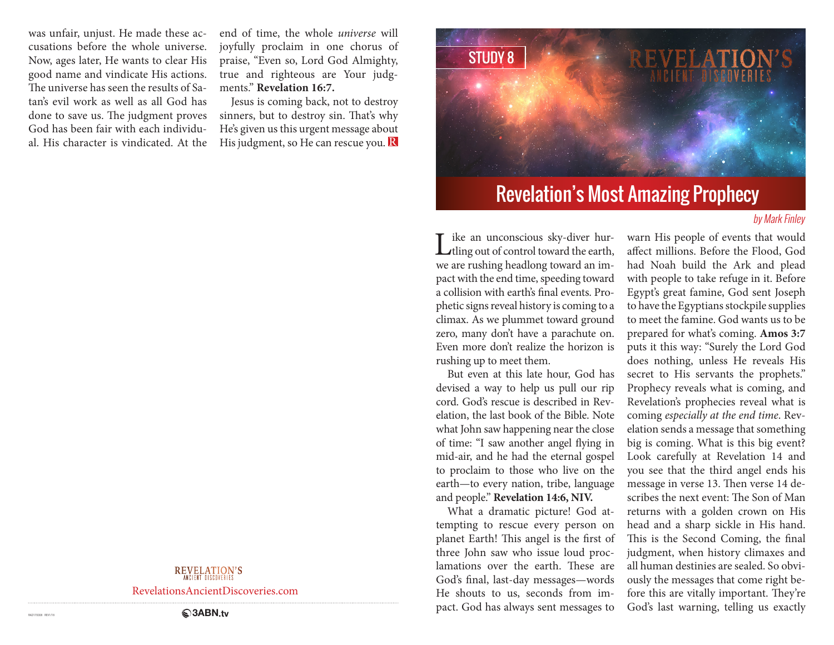was unfair, unjust. He made these accusations before the whole universe. Now, ages later, He wants to clear His good name and vindicate His actions. The universe has seen the results of Satan's evil work as well as all God has done to save us. The judgment proves God has been fair with each individual. His character is vindicated. At the

end of time, the whole *universe* will joyfully proclaim in one chorus of praise, "Even so, Lord God Almighty, true and righteous are Your judgments." **Revelation 16:7.**

Jesus is coming back, not to destroy sinners, but to destroy sin. That's why He's given us this urgent message about His judgment, so He can rescue you.  $\bf{R}$ 



# Revelation's Most Amazing Prophecy

### by Mark Finley

Like an unconscious sky-diver hur-<br>tling out of control toward the earth, we are rushing headlong toward an impact with the end time, speeding toward a collision with earth's final events. Prophetic signs reveal history is coming to a climax. As we plummet toward ground zero, many don't have a parachute on. Even more don't realize the horizon is rushing up to meet them.

But even at this late hour, God has devised a way to help us pull our rip cord. God's rescue is described in Revelation, the last book of the Bible. Note what John saw happening near the close of time: "I saw another angel flying in mid-air, and he had the eternal gospel to proclaim to those who live on the earth—to every nation, tribe, language and people." **Revelation 14:6, NIV.**

What a dramatic picture! God attempting to rescue every person on planet Earth! This angel is the first of three John saw who issue loud proclamations over the earth. These are God's final, last-day messages—words He shouts to us, seconds from impact. God has always sent messages to

warn His people of events that would affect millions. Before the Flood, God had Noah build the Ark and plead with people to take refuge in it. Before Egypt's great famine, God sent Joseph to have the Egyptians stockpile supplies to meet the famine. God wants us to be prepared for what's coming. **Amos 3:7** puts it this way: "Surely the Lord God does nothing, unless He reveals His secret to His servants the prophets." Prophecy reveals what is coming, and Revelation's prophecies reveal what is coming *especially at the end time*. Revelation sends a message that something big is coming. What is this big event? Look carefully at Revelation 14 and you see that the third angel ends his message in verse 13. Then verse 14 describes the next event: The Son of Man returns with a golden crown on His head and a sharp sickle in His hand. This is the Second Coming, the final judgment, when history climaxes and all human destinies are sealed. So obviously the messages that come right before this are vitally important. They're God's last warning, telling us exactly

**REVELATION'S** 

RevelationsAncientDiscoveries.com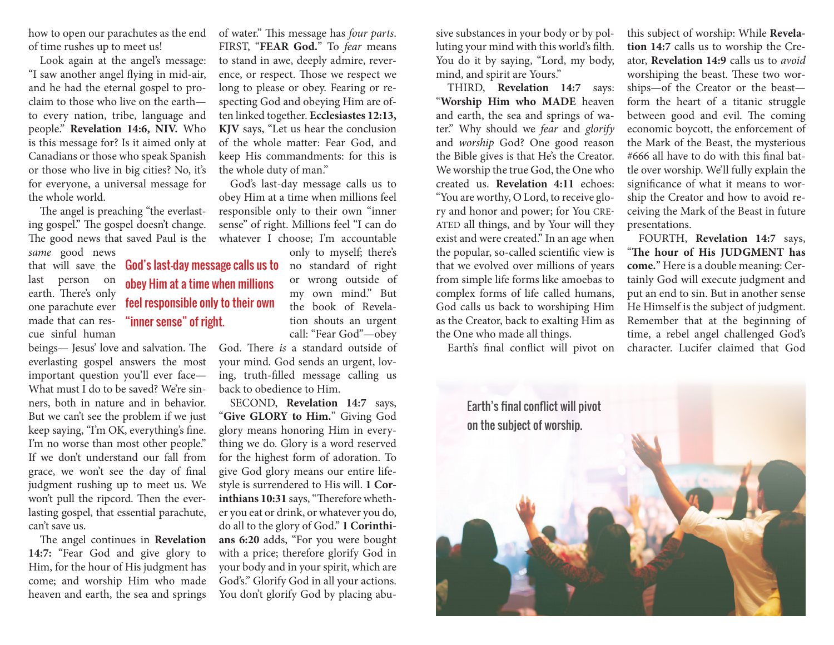how to open our parachutes as the end of time rushes up to meet us!

Look again at the angel's message: "I saw another angel flying in mid-air, and he had the eternal gospel to proclaim to those who live on the earth to every nation, tribe, language and people." **Revelation 14:6, NIV.** Who is this message for? Is it aimed only at Canadians or those who speak Spanish or those who live in big cities? No, it's for everyone, a universal message for the whole world.

The angel is preaching "the everlasting gospel." The gospel doesn't change. The good news that saved Paul is the *same* good news

> obey Him at a time when millions feel responsible only to their own

"inner sense" of right.

last person on earth. There's only one parachute ever made that can rescue sinful human

beings— Jesus' love and salvation. The everlasting gospel answers the most important question you'll ever face— What must I do to be saved? We're sinners, both in nature and in behavior. But we can't see the problem if we just keep saying, "I'm OK, everything's fine. I'm no worse than most other people." If we don't understand our fall from grace, we won't see the day of final judgment rushing up to meet us. We won't pull the ripcord. Then the everlasting gospel, that essential parachute, can't save us.

The angel continues in **Revelation 14:7:** "Fear God and give glory to Him, for the hour of His judgment has come; and worship Him who made heaven and earth, the sea and springs

of water." This message has *four parts*. FIRST, "**FEAR God.**" To *fear* means to stand in awe, deeply admire, reverence, or respect. Those we respect we long to please or obey. Fearing or respecting God and obeying Him are often linked together. **Ecclesiastes 12:13, KJV** says, "Let us hear the conclusion of the whole matter: Fear God, and keep His commandments: for this is the whole duty of man."

God's last-day message calls us to obey Him at a time when millions feel responsible only to their own "inner sense" of right. Millions feel "I can do whatever I choose; I'm accountable

that will save the **God's last-day message calls us to** no standard of right only to myself; there's or wrong outside of my own mind." But the book of Revelation shouts an urgent call: "Fear God"—obey

> God. There *is* a standard outside of your mind. God sends an urgent, loving, truth-filled message calling us back to obedience to Him.

> SECOND, **Revelation 14:7** says, "**Give GLORY to Him.**" Giving God glory means honoring Him in everything we do. Glory is a word reserved for the highest form of adoration. To give God glory means our entire lifestyle is surrendered to His will. **1 Corinthians 10:31** says, "Therefore whether you eat or drink, or whatever you do, do all to the glory of God." **1 Corinthians 6:20** adds, "For you were bought with a price; therefore glorify God in your body and in your spirit, which are God's." Glorify God in all your actions. You don't glorify God by placing abu-

sive substances in your body or by polluting your mind with this world's filth. You do it by saying, "Lord, my body, mind, and spirit are Yours."

THIRD, **Revelation 14:7** says: "**Worship Him who MADE** heaven and earth, the sea and springs of water." Why should we *fear* and *glorify*  and *worship* God? One good reason the Bible gives is that He's the Creator. We worship the true God, the One who created us. **Revelation 4:11** echoes: "You are worthy, O Lord, to receive glory and honor and power; for You CRE-ATED all things, and by Your will they exist and were created." In an age when the popular, so-called scientific view is that we evolved over millions of years from simple life forms like amoebas to complex forms of life called humans, God calls us back to worshiping Him as the Creator, back to exalting Him as the One who made all things.

Earth's final conflict will pivot on

this subject of worship: While **Revelation 14:7** calls us to worship the Creator, **Revelation 14:9** calls us to *avoid*  worshiping the beast. These two worships—of the Creator or the beast form the heart of a titanic struggle between good and evil. The coming economic boycott, the enforcement of the Mark of the Beast, the mysterious #666 all have to do with this final battle over worship. We'll fully explain the significance of what it means to worship the Creator and how to avoid receiving the Mark of the Beast in future presentations.

FOURTH, **Revelation 14:7** says, "**The hour of His JUDGMENT has come.**" Here is a double meaning: Certainly God will execute judgment and put an end to sin. But in another sense He Himself is the subject of judgment. Remember that at the beginning of time, a rebel angel challenged God's character. Lucifer claimed that God